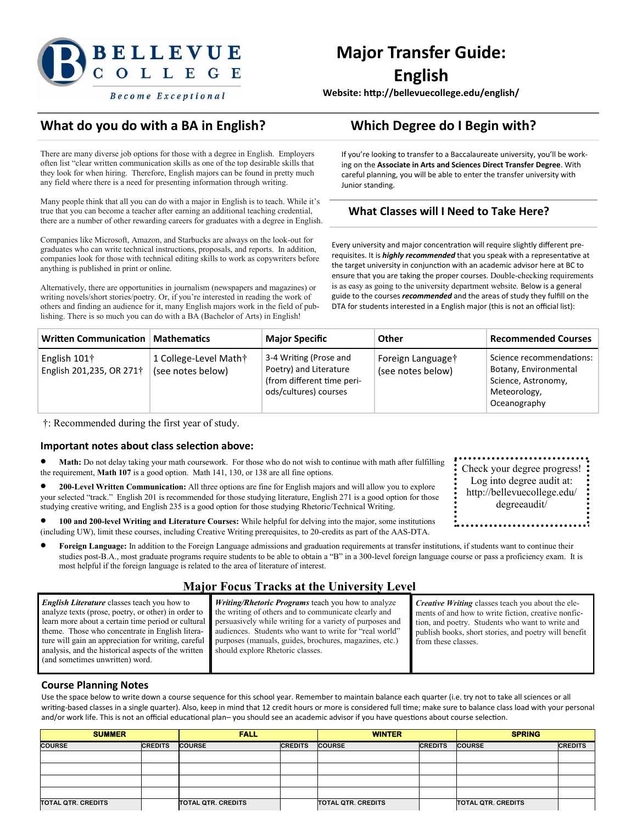

# **Major Transfer Guide: English**

**Website: http://bellevuecollege.edu/english/**

### **What do you do with a BA in English? Which Degree do I Begin with?**

There are many diverse job options for those with a degree in English. Employers often list "clear written communication skills as one of the top desirable skills that they look for when hiring. Therefore, English majors can be found in pretty much any field where there is a need for presenting information through writing.

Many people think that all you can do with a major in English is to teach. While it's true that you can become a teacher after earning an additional teaching credential, there are a number of other rewarding careers for graduates with a degree in English.

Companies like Microsoft, Amazon, and Starbucks are always on the look-out for graduates who can write technical instructions, proposals, and reports. In addition, companies look for those with technical editing skills to work as copywriters before anything is published in print or online.

Alternatively, there are opportunities in journalism (newspapers and magazines) or writing novels/short stories/poetry. Or, if you're interested in reading the work of others and finding an audience for it, many English majors work in the field of publishing. There is so much you can do with a BA (Bachelor of Arts) in English!

If you're looking to transfer to a Baccalaureate university, you'll be working on the **Associate in Arts and Sciences Direct Transfer Degree**. With careful planning, you will be able to enter the transfer university with Junior standing.

### **What Classes will I Need to Take Here?**

Every university and major concentration will require slightly different prerequisites. It is *highly recommended* that you speak with a representative at the target university in conjunction with an academic advisor here at BC to ensure that you are taking the proper courses. Double-checking requirements is as easy as going to the university department website. Below is a general guide to the courses *recommended* and the areas of study they fulfill on the DTA for students interested in a English major (this is not an official list):

| <b>Written Communication</b>               | <b>Mathematics</b>                         | <b>Major Specific</b>                                                                                   | Other                                  | <b>Recommended Courses</b>                                                                               |
|--------------------------------------------|--------------------------------------------|---------------------------------------------------------------------------------------------------------|----------------------------------------|----------------------------------------------------------------------------------------------------------|
| English $101+$<br>English 201,235, OR 271† | 1 College-Level Math†<br>(see notes below) | 3-4 Writing (Prose and<br>Poetry) and Literature<br>(from different time peri-<br>ods/cultures) courses | Foreign Languaget<br>(see notes below) | Science recommendations:<br>Botany, Environmental<br>Science, Astronomy,<br>Meteorology,<br>Oceanography |

†: Recommended during the first year of study.

### **Important notes about class selection above:**

- **Math:** Do not delay taking your math coursework. For those who do not wish to continue with math after fulfilling the requirement, **Math 107** is a good option. Math 141, 130, or 138 are all fine options.
- **<sup>200</sup>-Level Written Communication:** All three options are fine for English majors and will allow you to explore your selected "track." English 201 is recommended for those studying literature, English 271 is a good option for those studying creative writing, and English 235 is a good option for those studying Rhetoric/Technical Writing.
- **100 and 200-level Writing and Literature Courses:** While helpful for delving into the major, some institutions (including UW), limit these courses, including Creative Writing prerequisites, to 20-credits as part of the AAS-DTA.
- **Foreign Language:** In addition to the Foreign Language admissions and graduation requirements at transfer institutions, if students want to continue their studies post-B.A., most graduate programs require students to be able to obtain a "B" in a 300-level foreign language course or pass a proficiency exam. It is most helpful if the foreign language is related to the area of literature of interest.

### **Major Focus Tracks at the University Level**

*English Literature* classes teach you how to analyze texts (prose, poetry, or other) in order to learn more about a certain time period or cultural theme. Those who concentrate in English literature will gain an appreciation for writing, careful analysis, and the historical aspects of the written (and sometimes unwritten) word.

*Writing/Rhetoric Programs* teach you how to analyze the writing of others and to communicate clearly and persuasively while writing for a variety of purposes and audiences. Students who want to write for "real world" purposes (manuals, guides, brochures, magazines, etc.) should explore Rhetoric classes.

*Creative Writing* classes teach you about the elements of and how to write fiction, creative nonfiction, and poetry. Students who want to write and publish books, short stories, and poetry will benefit from these classes.

#### **Course Planning Notes**

Use the space below to write down a course sequence for this school year. Remember to maintain balance each quarter (i.e. try not to take all sciences or all writing-based classes in a single quarter). Also, keep in mind that 12 credit hours or more is considered full time; make sure to balance class load with your personal and/or work life. This is not an official educational plan– you should see an academic advisor if you have questions about course selection.

| <b>SUMMER</b>             |                | <b>FALL</b>               |                | <b>WINTER</b>             |                | <b>SPRING</b>             |                |
|---------------------------|----------------|---------------------------|----------------|---------------------------|----------------|---------------------------|----------------|
| <b>COURSE</b>             | <b>CREDITS</b> | <b>COURSE</b>             | <b>CREDITS</b> | <b>COURSE</b>             | <b>CREDITS</b> | <b>COURSE</b>             | <b>CREDITS</b> |
|                           |                |                           |                |                           |                |                           |                |
|                           |                |                           |                |                           |                |                           |                |
|                           |                |                           |                |                           |                |                           |                |
|                           |                |                           |                |                           |                |                           |                |
| <b>TOTAL QTR. CREDITS</b> |                | <b>TOTAL QTR. CREDITS</b> |                | <b>TOTAL QTR. CREDITS</b> |                | <b>TOTAL QTR. CREDITS</b> |                |

Check your degree progress! Log into degree audit at: http://bellevuecollege.edu/ degreeaudit/